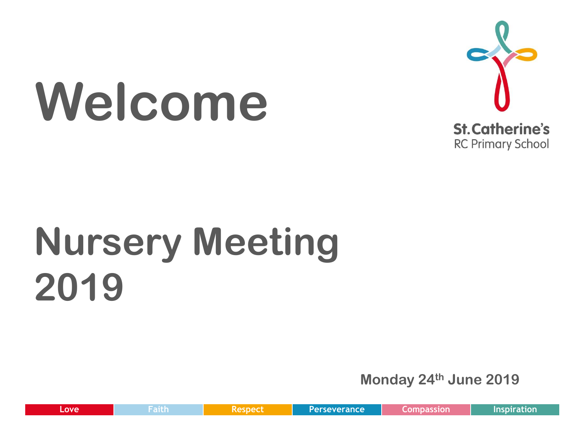# **Welcome**



# **Nursery Meeting 2019**

**Monday 24th June 2019**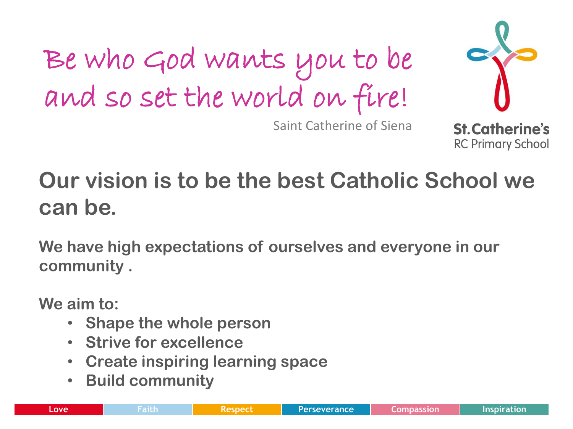Be who God wants you to be and so set the world on fire!



**RC Primary School** 

Saint Catherine of Siena

#### **Our vision is to be the best Catholic School we can be.**

**We have high expectations of ourselves and everyone in our community .**

**We aim to:**

- **Shape the whole person**
- **Strive for excellence**
- **Create inspiring learning space**
- **Build community**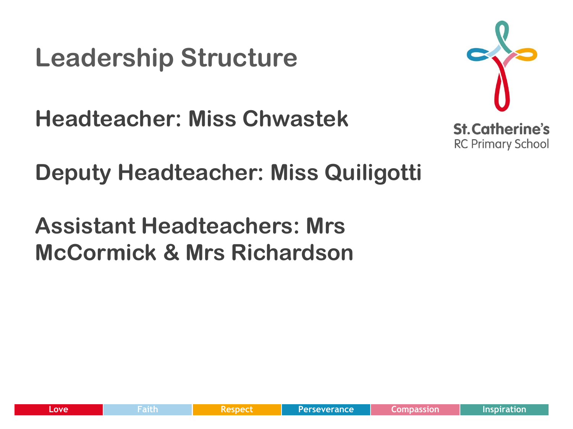#### **Leadership Structure**

**Headteacher: Miss Chwastek**



**Deputy Headteacher: Miss Quiligotti**

**Assistant Headteachers: Mrs McCormick & Mrs Richardson**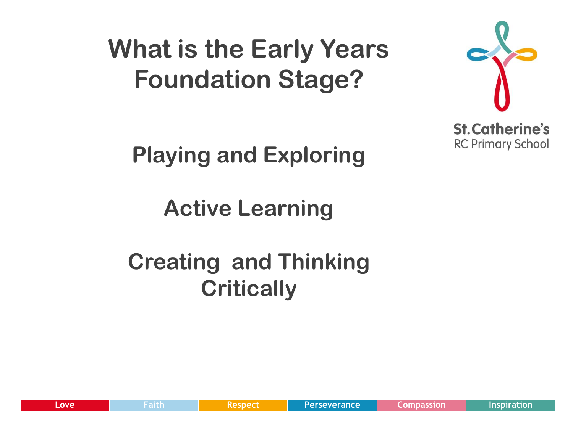# **What is the Early Years Foundation Stage?**



**Playing and Exploring**

**Active Learning** 

#### **Creating and Thinking Critically**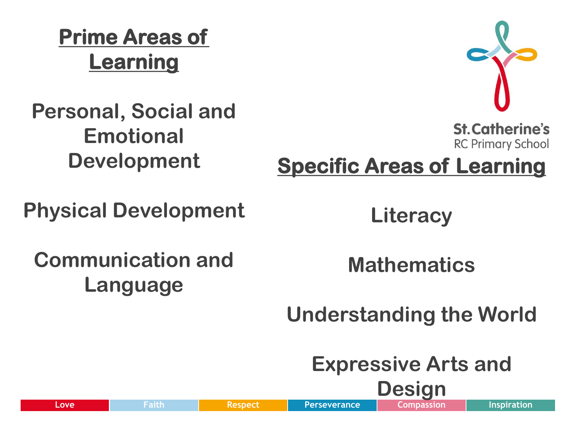**Prime Areas of Learning** 

#### **Personal, Social and Emotional Development**



**St. Catherine's RC Primary School** 

**Specific Areas of Learning** 

**Physical Development**

**Literacy**

**Communication and Language** 

**Mathematics**

**Understanding the World**

**Expressive Arts and Design**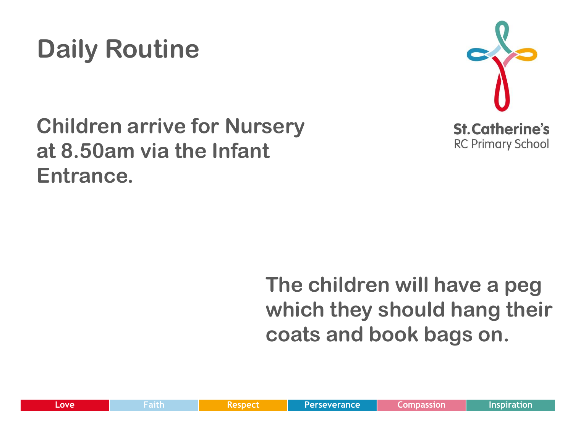

#### **Children arrive for Nursery at 8.50am via the Infant Entrance.**



#### **The children will have a peg which they should hang their coats and book bags on.**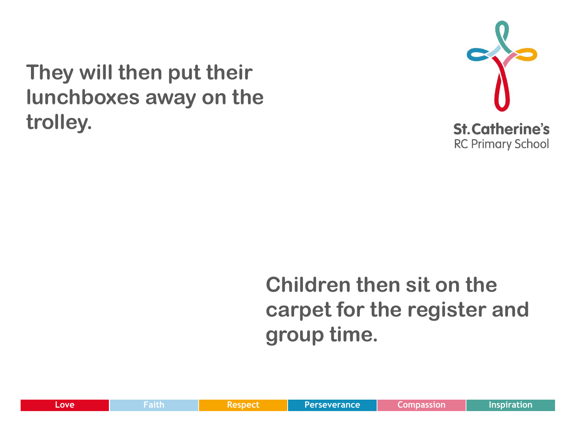**They will then put their lunchboxes away on the trolley.** 



#### **Children then sit on the carpet for the register and group time.**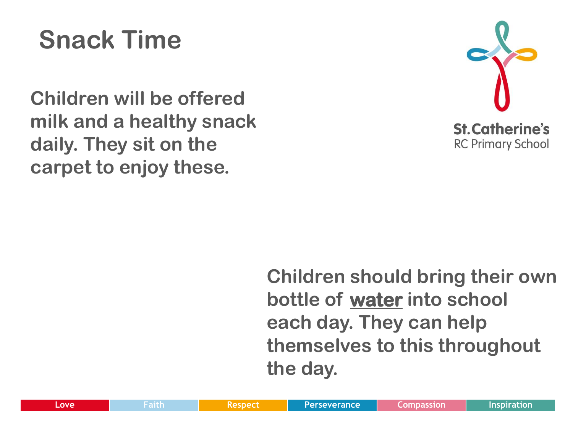# **Snack Time**

**Children will be offered milk and a healthy snack daily. They sit on the carpet to enjoy these.** 



**Children should bring their own bottle of water into school each day. They can help themselves to this throughout the day.**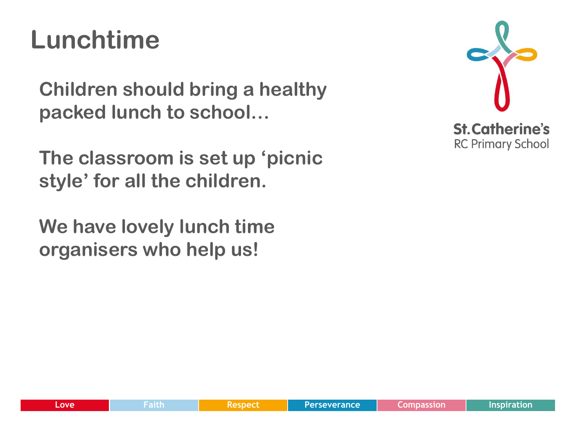# **Lunchtime**

**Children should bring a healthy packed lunch to school…**

**The classroom is set up 'picnic style' for all the children.**

**We have lovely lunch time organisers who help us!**

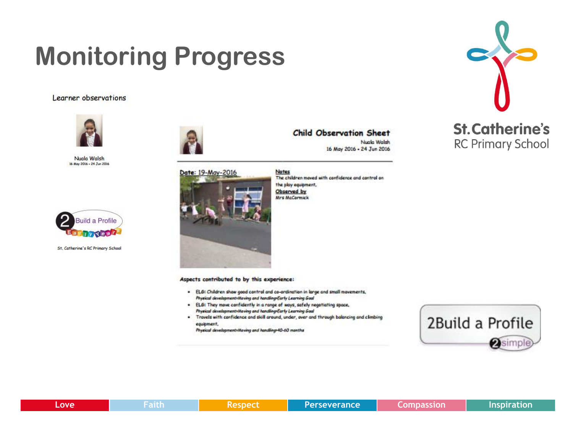# **Monitoring Progress**

Learner observations



Nuala Walsh 16 May 2016 - 24 Jun 2016



St. Catherine's RC Primary School







**Child Observation Sheet** Nugle Welch

16 May 2016 - 24 Jun 2016

Notes The children moved with confidence and control on the play equipment. Observed by Mrs McCormick



- . ELG: Children show good control and co-ordination in large and small movements, Physical development Moving and handling Early Learning Goal
- . ELG: They move confidently in a range of ways, safely negotiating space, Physical development Moving and handling Early Learning Goal
- . Travels with confidence and skill around, under, over and through balancing and climbing equipment.

Physical development/Maving and handling-40-60 months



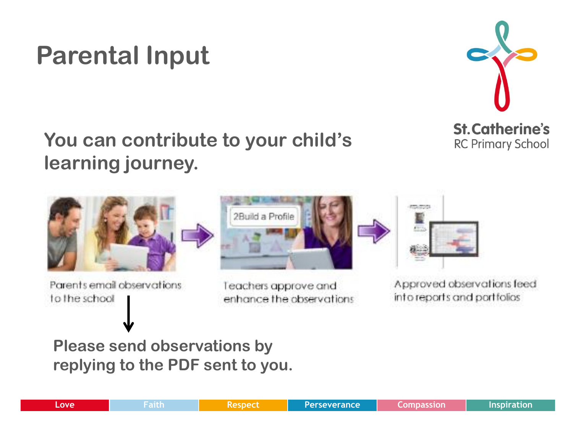#### **Parental Input**



#### **You can contribute to your child's learning journey.**



Parents email observations to the school



Teachers approve and enhance the observations



Approved observations feed into reports and portfolios

#### **Please send observations by replying to the PDF sent to you.**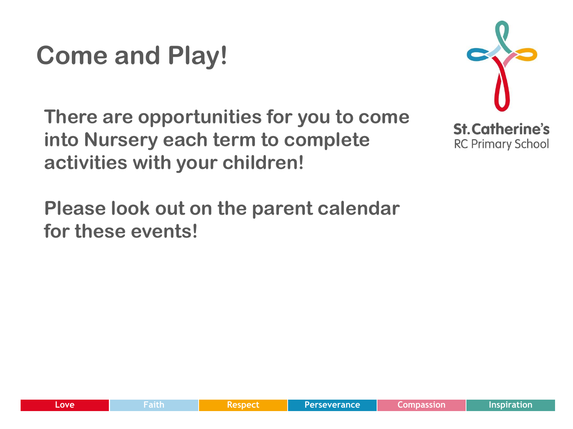# **Come and Play!**

**There are opportunities for you to come into Nursery each term to complete activities with your children!**



**Please look out on the parent calendar for these events!**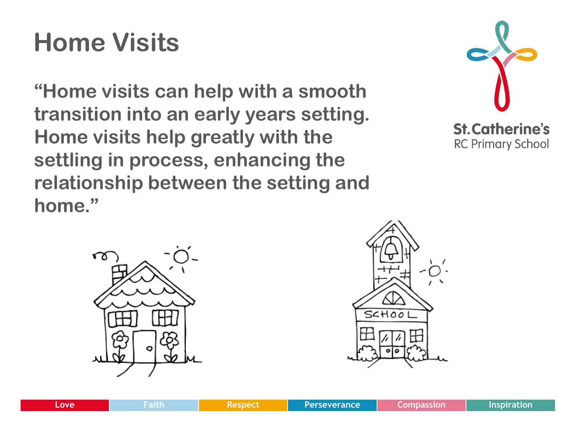# **Home Visits**

**"Home visits can help with a smooth transition into an early years setting. Home visits help greatly with the settling in process, enhancing the relationship between the setting and home."**





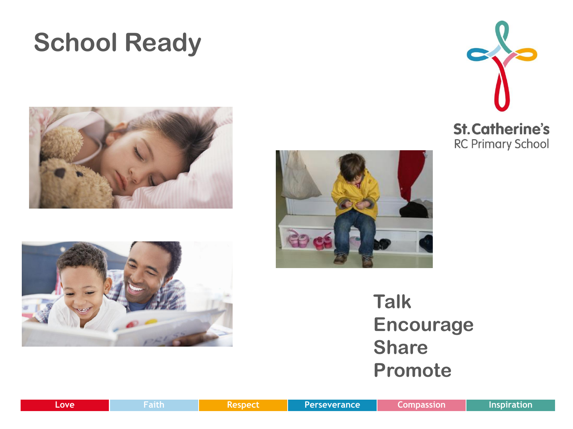#### **School Ready**









**Talk Encourage Share Promote**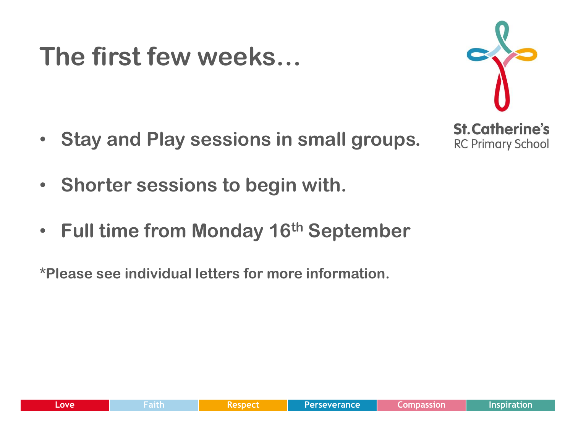#### **The first few weeks…**



- **Stay and Play sessions in small groups.**
- **Shorter sessions to begin with.**
- **Full time from Monday 16th September**

**\*Please see individual letters for more information.**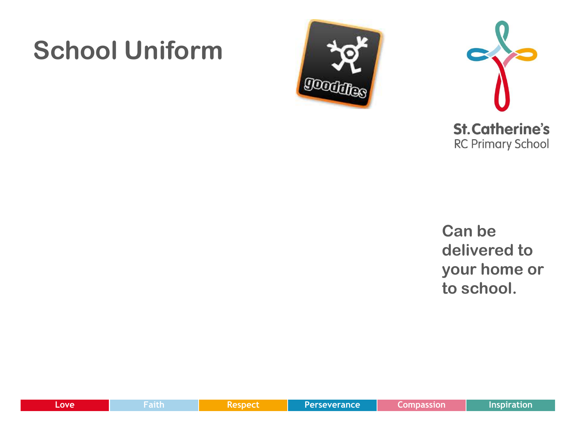#### **School Uniform**





**Can be delivered to your home or to school.** 

| Love | a shinin 1<br><b>TELLET</b> | sned | Perseverance | Inspiration |
|------|-----------------------------|------|--------------|-------------|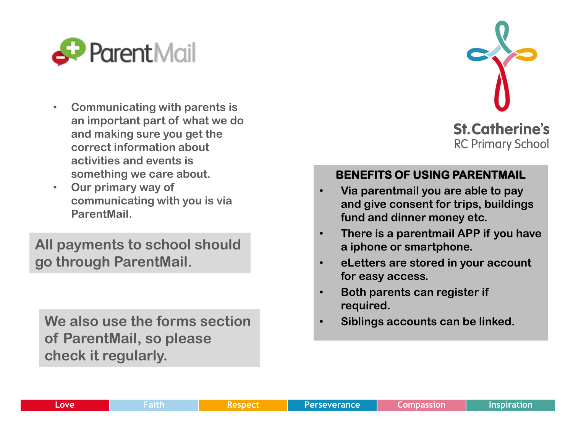

- **Communicating with parents is an important part of what we do and making sure you get the correct information about activities and events is something we care about.**
- **Our primary way of communicating with you is via ParentMail.**

**All payments to school should go through ParentMail.** 

**We also use the forms section of ParentMail, so please check it regularly.** 



#### **BENEFITS OF USING PARENTMAIL**

- **Via parentmail you are able to pay and give consent for trips, buildings fund and dinner money etc.**
- **There is a parentmail APP if you have a iphone or smartphone.**
- **eLetters are stored in your account for easy access.**
- **Both parents can register if required.**
- **Siblings accounts can be linked.**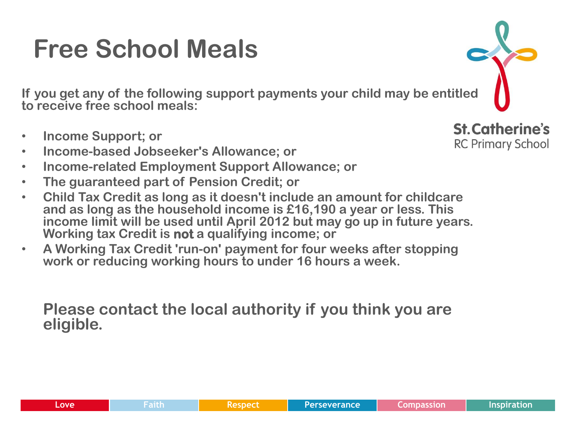### **Free School Meals**

**If you get any of the following support payments your child may be entitled to receive free school meals:**

- **Income Support; or**
- **Income-based Jobseeker's Allowance; or**
- **Income-related Employment Support Allowance; or**
- **The guaranteed part of Pension Credit; or**
- **Child Tax Credit as long as it doesn't include an amount for childcare and as long as the household income is £16,190 a year or less. This income limit will be used until April 2012 but may go up in future years. Working tax Credit is not a qualifying income; or**
- **A Working Tax Credit 'run-on' payment for four weeks after stopping work or reducing working hours to under 16 hours a week.**

**Please contact the local authority if you think you are eligible.** 

**St. Catherine's RC Primary School** 

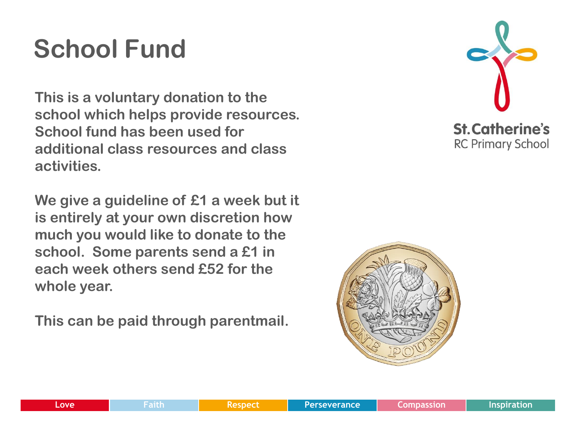# **School Fund**

**This is a voluntary donation to the school which helps provide resources. School fund has been used for additional class resources and class activities.** 

**We give a guideline of £1 a week but it is entirely at your own discretion how much you would like to donate to the school. Some parents send a £1 in each week others send £52 for the whole year.**

**This can be paid through parentmail.** 



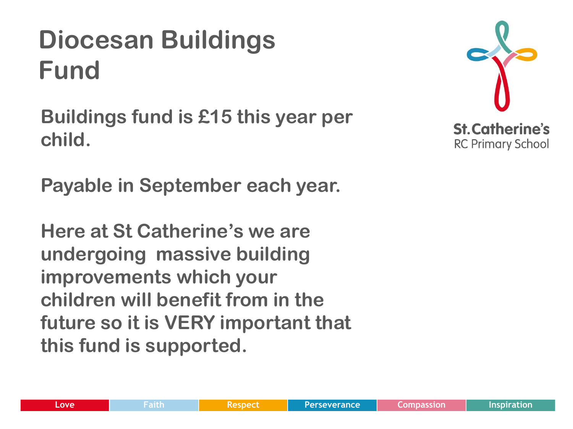# **Diocesan Buildings Fund**

**Buildings fund is £15 this year per child.**

**Payable in September each year.**

**Here at St Catherine's we are undergoing massive building improvements which your children will benefit from in the future so it is VERY important that this fund is supported.**

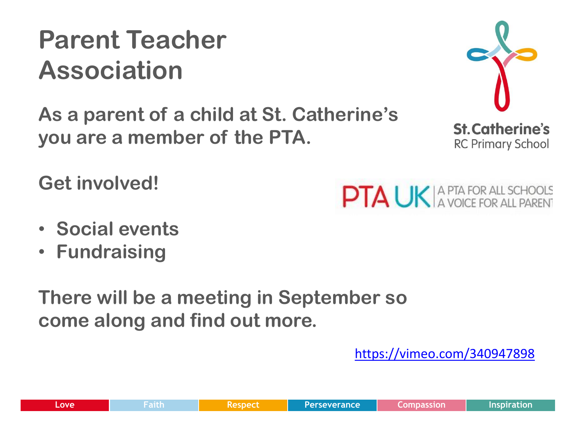<https://vimeo.com/340947898>

**There will be a meeting in September so come along and find out more.**

**As a parent of a child at St. Catherine's** 

**you are a member of the PTA.**

**Get involved!**

- 
- **Social events**
- **Fundraising**

**PTA UK** A PTA FOR ALL SCHOOLS



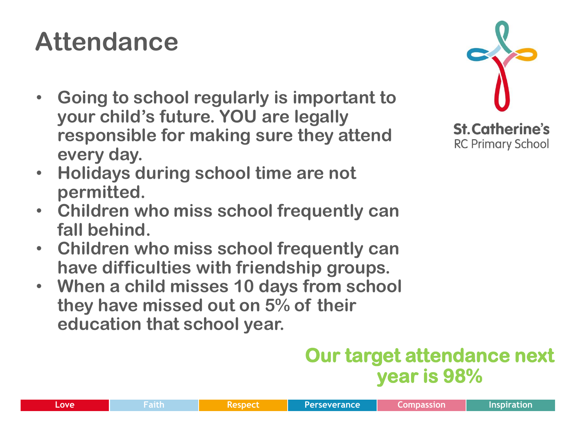# **Attendance**

- **Going to school regularly is important to your child's future. YOU are legally responsible for making sure they attend every day.**
- **Holidays during school time are not permitted.**
- **Children who miss school frequently can fall behind.**
- **Children who miss school frequently can have difficulties with friendship groups.**
- **When a child misses 10 days from school they have missed out on 5% of their education that school year.**

#### **Our target attendance next year is 98%**

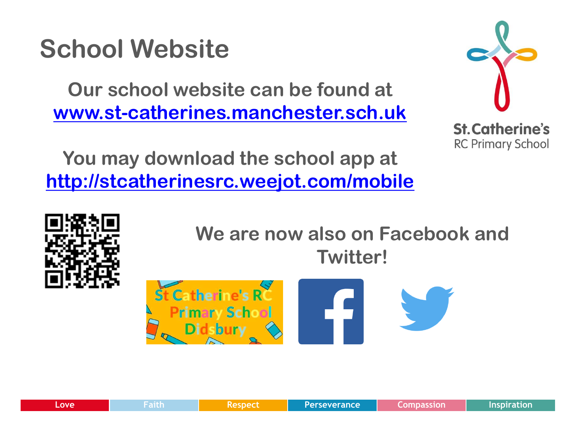#### **School Website**

**Our school website can be found at [www.st-catherines.manchester.sch.uk](http://www.st-catherines.manchester.sch.uk/)**



**You may download the school app at <http://stcatherinesrc.weejot.com/mobile>**



**We are now also on Facebook and Twitter!**